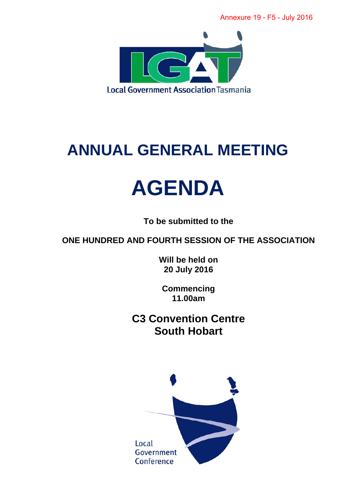Annexure 19 - F5 - July 2016



## **ANNUAL GENERAL MEETING**

# **AGENDA**

**To be submitted to the** 

**ONE HUNDRED AND FOURTH SESSION OF THE ASSOCIATION** 

**Will be held on 20 July 2016** 

**Commencing 11.00am** 

**C3 Convention Centre South Hobart** 

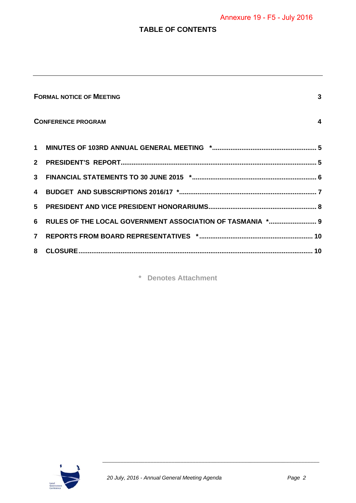## Annexure 19 - F5 - July 2016

#### **TABLE OF CONTENTS**

|                                                      | <b>FORMAL NOTICE OF MEETING</b><br>3                        |  |  |  |  |
|------------------------------------------------------|-------------------------------------------------------------|--|--|--|--|
| <b>CONFERENCE PROGRAM</b><br>$\overline{\mathbf{4}}$ |                                                             |  |  |  |  |
|                                                      |                                                             |  |  |  |  |
|                                                      |                                                             |  |  |  |  |
|                                                      |                                                             |  |  |  |  |
|                                                      |                                                             |  |  |  |  |
|                                                      |                                                             |  |  |  |  |
|                                                      | 6 RULES OF THE LOCAL GOVERNMENT ASSOCIATION OF TASMANIA * 9 |  |  |  |  |
|                                                      |                                                             |  |  |  |  |
|                                                      |                                                             |  |  |  |  |

**\* Denotes Attachment** 

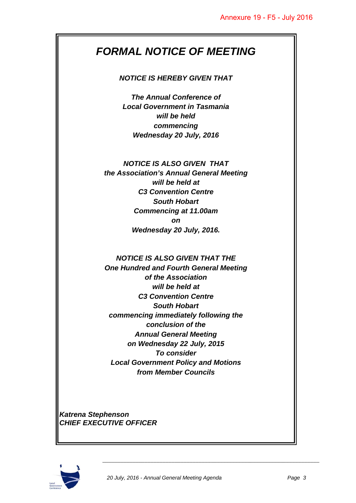## *FORMAL NOTICE OF MEETING*

#### *NOTICE IS HEREBY GIVEN THAT*

*The Annual Conference of Local Government in Tasmania will be held commencing Wednesday 20 July, 2016* 

## *NOTICE IS ALSO GIVEN THAT*

*the Association's Annual General Meeting will be held at C3 Convention Centre South Hobart Commencing at 11.00am on Wednesday 20 July, 2016.* 

#### *NOTICE IS ALSO GIVEN THAT THE*

*One Hundred and Fourth General Meeting of the Association will be held at C3 Convention Centre South Hobart commencing immediately following the conclusion of the Annual General Meeting on Wednesday 22 July, 2015 To consider Local Government Policy and Motions from Member Councils* 

*Katrena Stephenson CHIEF EXECUTIVE OFFICER* 

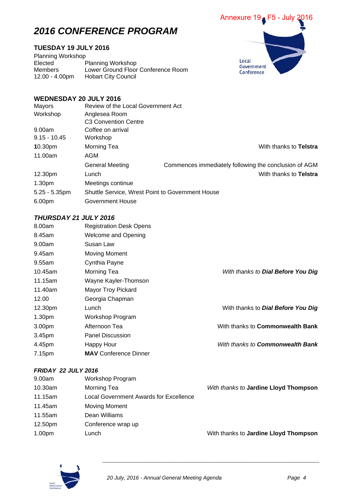## *2016 CONFERENCE PROGRAM*

#### **TUESDAY 19 JULY 2016**

Planning Workshop<br>Elected F Planning Workshop Members Lower Ground Floor Conference Room<br>12.00 - 4.00pm Hobart City Council Hobart City Council



#### **WEDNESDAY 20 JULY 2016**

| Mayors              | Review of the Local Government Act                      |                                                       |                        |
|---------------------|---------------------------------------------------------|-------------------------------------------------------|------------------------|
| Workshop            | Anglesea Room                                           |                                                       |                        |
|                     | C <sub>3</sub> Convention Centre                        |                                                       |                        |
| 9.00am              | Coffee on arrival                                       |                                                       |                        |
| $9.15 - 10.45$      | Workshop                                                |                                                       |                        |
| 10.30 <sub>pm</sub> | Morning Tea                                             |                                                       | With thanks to Telstra |
| 11.00am             | AGM                                                     |                                                       |                        |
|                     | General Meeting                                         | Commences immediately following the conclusion of AGM |                        |
| 12.30pm             | Lunch                                                   |                                                       | With thanks to Telstra |
| 1.30 <sub>pm</sub>  | Meetings continue                                       |                                                       |                        |
| $5.25 - 5.35$ pm    | <b>Shuttle Service, Wrest Point to Government House</b> |                                                       |                        |
| 6.00pm              | Government House                                        |                                                       |                        |

#### *THURSDAY 21 JULY 2016*

| 8.00am             | <b>Registration Desk Opens</b> |                                           |
|--------------------|--------------------------------|-------------------------------------------|
| 8.45am             | <b>Welcome and Opening</b>     |                                           |
| 9.00am             | Susan Law                      |                                           |
| 9.45am             | Moving Moment                  |                                           |
| 9.55am             | Cynthia Payne                  |                                           |
| 10.45am            | Morning Tea                    | With thanks to Dial Before You Dig        |
| 11.15am            | Wayne Kayler-Thomson           |                                           |
| 11.40am            | Mayor Troy Pickard             |                                           |
| 12.00              | Georgia Chapman                |                                           |
| 12.30pm            | Lunch                          | With thanks to <b>Dial Before You Dig</b> |
| 1.30 <sub>pm</sub> | Workshop Program               |                                           |
| 3.00pm             | Afternoon Tea                  | With thanks to <b>Commonwealth Bank</b>   |
| 3.45pm             | <b>Panel Discussion</b>        |                                           |
| 4.45pm             | Happy Hour                     | With thanks to <b>Commonwealth Bank</b>   |
| 7.15pm             | <b>MAV</b> Conference Dinner   |                                           |

#### *FRIDAY 22 JULY 2016*

| 9.00am             | Workshop Program                       |                                       |
|--------------------|----------------------------------------|---------------------------------------|
| 10.30am            | Morning Tea                            | With thanks to Jardine Lloyd Thompson |
| 11.15am            | Local Government Awards for Excellence |                                       |
| 11.45am            | <b>Moving Moment</b>                   |                                       |
| 11.55am            | Dean Williams                          |                                       |
| 12.50pm            | Conference wrap up                     |                                       |
| 1.00 <sub>pm</sub> | Lunch                                  | With thanks to Jardine Lloyd Thompson |

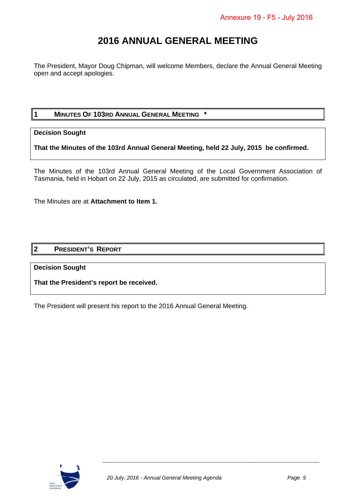## **2016 ANNUAL GENERAL MEETING**

The President, Mayor Doug Chipman, will welcome Members, declare the Annual General Meeting open and accept apologies.

#### **1 MINUTES OF 103RD ANNUAL GENERAL MEETING \***

#### **Decision Sought**

**That the Minutes of the 103rd Annual General Meeting, held 22 July, 2015 be confirmed.** 

The Minutes of the 103rd Annual General Meeting of the Local Government Association of Tasmania, held in Hobart on 22 July, 2015 as circulated, are submitted for confirmation.

The Minutes are at **Attachment to Item 1.** 

#### **2 PRESIDENT'S REPORT**

#### **Decision Sought**

**That the President's report be received.** 

The President will present his report to the 2016 Annual General Meeting.

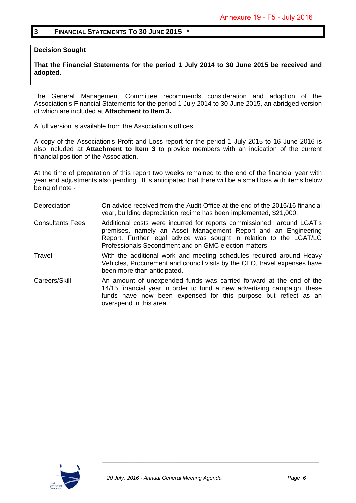#### **3 FINANCIAL STATEMENTS TO 30 JUNE 2015 \***

**Decision Sought** 

**That the Financial Statements for the period 1 July 2014 to 30 June 2015 be received and adopted.** 

The General Management Committee recommends consideration and adoption of the Association's Financial Statements for the period 1 July 2014 to 30 June 2015, an abridged version of which are included at **Attachment to Item 3.** 

A full version is available from the Association's offices.

A copy of the Association's Profit and Loss report for the period 1 July 2015 to 16 June 2016 is also included at **Attachment to Item 3** to provide members with an indication of the current financial position of the Association.

At the time of preparation of this report two weeks remained to the end of the financial year with year end adjustments also pending. It is anticipated that there will be a small loss with items below being of note -

- Depreciation On advice received from the Audit Office at the end of the 2015/16 financial year, building depreciation regime has been implemented, \$21,000.
- Consultants Fees Additional costs were incurred for reports commissioned around LGAT's premises, namely an Asset Management Report and an Engineering Report. Further legal advice was sought in relation to the LGAT/LG Professionals Secondment and on GMC election matters.
- Travel With the additional work and meeting schedules required around Heavy Vehicles, Procurement and council visits by the CEO, travel expenses have been more than anticipated.
- Careers/Skill An amount of unexpended funds was carried forward at the end of the 14/15 financial year in order to fund a new advertising campaign, these funds have now been expensed for this purpose but reflect as an overspend in this area.

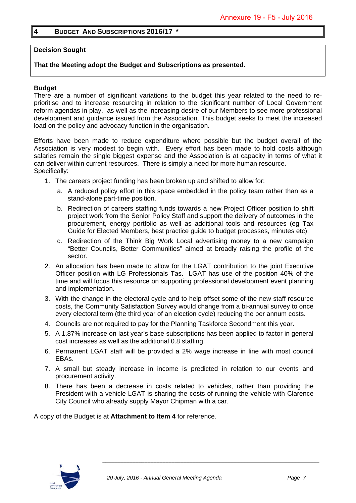#### **4 BUDGET AND SUBSCRIPTIONS 2016/17 \***

#### **Decision Sought**

#### **That the Meeting adopt the Budget and Subscriptions as presented.**

#### **Budget**

There are a number of significant variations to the budget this year related to the need to reprioritise and to increase resourcing in relation to the significant number of Local Government reform agendas in play, as well as the increasing desire of our Members to see more professional development and guidance issued from the Association. This budget seeks to meet the increased load on the policy and advocacy function in the organisation.

Efforts have been made to reduce expenditure where possible but the budget overall of the Association is very modest to begin with. Every effort has been made to hold costs although salaries remain the single biggest expense and the Association is at capacity in terms of what it can deliver within current resources. There is simply a need for more human resource. Specifically:

- 1. The careers project funding has been broken up and shifted to allow for:
	- a. A reduced policy effort in this space embedded in the policy team rather than as a stand-alone part-time position.
	- b. Redirection of careers staffing funds towards a new Project Officer position to shift project work from the Senior Policy Staff and support the delivery of outcomes in the procurement, energy portfolio as well as additional tools and resources (eg Tax Guide for Elected Members, best practice guide to budget processes, minutes etc).
	- c. Redirection of the Think Big Work Local advertising money to a new campaign "Better Councils, Better Communities" aimed at broadly raising the profile of the sector.
- 2. An allocation has been made to allow for the LGAT contribution to the joint Executive Officer position with LG Professionals Tas. LGAT has use of the position 40% of the time and will focus this resource on supporting professional development event planning and implementation.
- 3. With the change in the electoral cycle and to help offset some of the new staff resource costs, the Community Satisfaction Survey would change from a bi-annual survey to once every electoral term (the third year of an election cycle) reducing the per annum costs.
- 4. Councils are not required to pay for the Planning Taskforce Secondment this year.
- 5. A 1.87% increase on last year's base subscriptions has been applied to factor in general cost increases as well as the additional 0.8 staffing.
- 6. Permanent LGAT staff will be provided a 2% wage increase in line with most council EBAs.
- 7. A small but steady increase in income is predicted in relation to our events and procurement activity.
- 8. There has been a decrease in costs related to vehicles, rather than providing the President with a vehicle LGAT is sharing the costs of running the vehicle with Clarence City Council who already supply Mayor Chipman with a car.

A copy of the Budget is at **Attachment to Item 4** for reference.

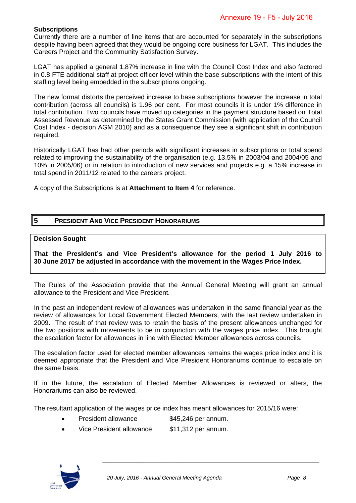#### **Subscriptions**

Currently there are a number of line items that are accounted for separately in the subscriptions despite having been agreed that they would be ongoing core business for LGAT. This includes the Careers Project and the Community Satisfaction Survey.

LGAT has applied a general 1.87% increase in line with the Council Cost Index and also factored in 0.8 FTE additional staff at project officer level within the base subscriptions with the intent of this staffing level being embedded in the subscriptions ongoing.

The new format distorts the perceived increase to base subscriptions however the increase in total contribution (across all councils) is 1.96 per cent. For most councils it is under 1% difference in total contribution. Two councils have moved up categories in the payment structure based on Total Assessed Revenue as determined by the States Grant Commission (with application of the Council Cost Index - decision AGM 2010) and as a consequence they see a significant shift in contribution required.

Historically LGAT has had other periods with significant increases in subscriptions or total spend related to improving the sustainability of the organisation (e.g. 13.5% in 2003/04 and 2004/05 and 10% in 2005/06) or in relation to introduction of new services and projects e.g. a 15% increase in total spend in 2011/12 related to the careers project.

A copy of the Subscriptions is at **Attachment to Item 4** for reference.

#### **5 PRESIDENT AND VICE PRESIDENT HONORARIUMS**

#### **Decision Sought**

**That the President's and Vice President's allowance for the period 1 July 2016 to 30 June 2017 be adjusted in accordance with the movement in the Wages Price Index.** 

The Rules of the Association provide that the Annual General Meeting will grant an annual allowance to the President and Vice President.

In the past an independent review of allowances was undertaken in the same financial year as the review of allowances for Local Government Elected Members, with the last review undertaken in 2009. The result of that review was to retain the basis of the present allowances unchanged for the two positions with movements to be in conjunction with the wages price index. This brought the escalation factor for allowances in line with Elected Member allowances across councils.

The escalation factor used for elected member allowances remains the wages price index and it is deemed appropriate that the President and Vice President Honorariums continue to escalate on the same basis.

If in the future, the escalation of Elected Member Allowances is reviewed or alters, the Honorariums can also be reviewed.

The resultant application of the wages price index has meant allowances for 2015/16 were:

- President allowance \$45,246 per annum.
- Vice President allowance \$11,312 per annum.

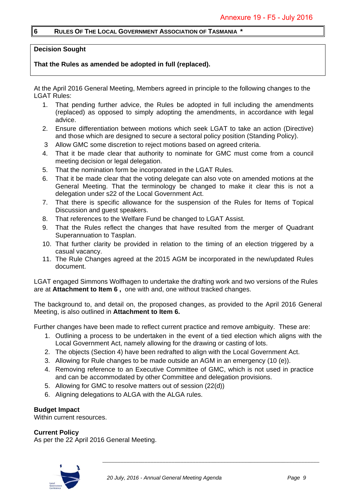#### **6 RULES OF THE LOCAL GOVERNMENT ASSOCIATION OF TASMANIA \***

#### **Decision Sought**

#### **That the Rules as amended be adopted in full (replaced).**

At the April 2016 General Meeting, Members agreed in principle to the following changes to the LGAT Rules:

- 1. That pending further advice, the Rules be adopted in full including the amendments (replaced) as opposed to simply adopting the amendments, in accordance with legal advice.
- 2. Ensure differentiation between motions which seek LGAT to take an action (Directive) and those which are designed to secure a sectoral policy position (Standing Policy).
- 3 Allow GMC some discretion to reject motions based on agreed criteria.
- 4. That it be made clear that authority to nominate for GMC must come from a council meeting decision or legal delegation.
- 5. That the nomination form be incorporated in the LGAT Rules.
- 6. That it be made clear that the voting delegate can also vote on amended motions at the General Meeting. That the terminology be changed to make it clear this is not a delegation under s22 of the Local Government Act.
- 7. That there is specific allowance for the suspension of the Rules for Items of Topical Discussion and guest speakers.
- 8. That references to the Welfare Fund be changed to LGAT Assist.
- 9. That the Rules reflect the changes that have resulted from the merger of Quadrant Superannuation to Tasplan.
- 10. That further clarity be provided in relation to the timing of an election triggered by a casual vacancy.
- 11. The Rule Changes agreed at the 2015 AGM be incorporated in the new/updated Rules document.

LGAT engaged Simmons Wolfhagen to undertake the drafting work and two versions of the Rules are at **Attachment to Item 6 ,** one with and, one without tracked changes.

The background to, and detail on, the proposed changes, as provided to the April 2016 General Meeting, is also outlined in **Attachment to Item 6.**

Further changes have been made to reflect current practice and remove ambiguity. These are:

- 1. Outlining a process to be undertaken in the event of a tied election which aligns with the Local Government Act, namely allowing for the drawing or casting of lots.
- 2. The objects (Section 4) have been redrafted to align with the Local Government Act.
- 3. Allowing for Rule changes to be made outside an AGM in an emergency (10 (e)).
- 4. Removing reference to an Executive Committee of GMC, which is not used in practice and can be accommodated by other Committee and delegation provisions.
- 5. Allowing for GMC to resolve matters out of session (22(d))
- 6. Aligning delegations to ALGA with the ALGA rules.

#### **Budget Impact**

Within current resources.

#### **Current Policy**

As per the 22 April 2016 General Meeting.